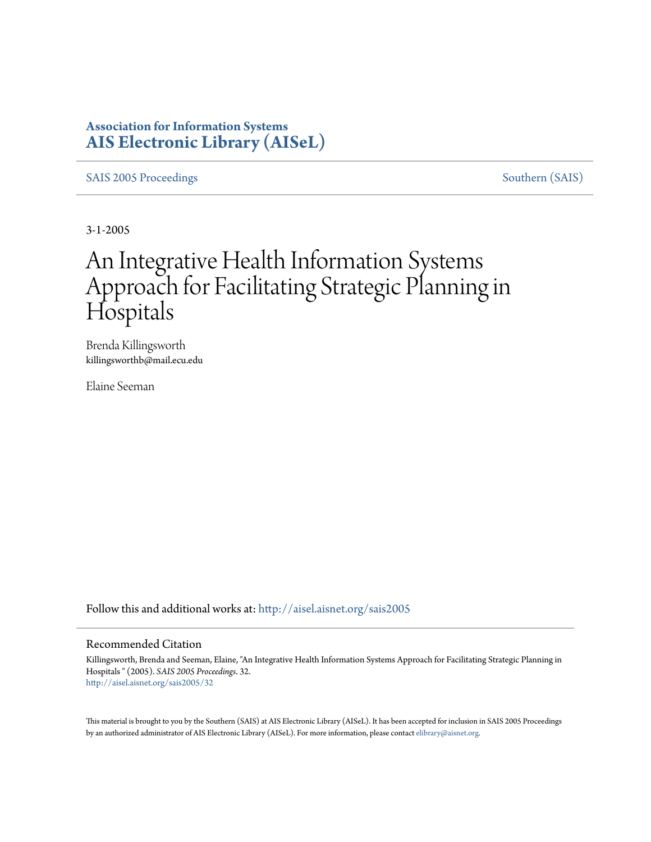# **Association for Information Systems [AIS Electronic Library \(AISeL\)](http://aisel.aisnet.org?utm_source=aisel.aisnet.org%2Fsais2005%2F32&utm_medium=PDF&utm_campaign=PDFCoverPages)**

[SAIS 2005 Proceedings](http://aisel.aisnet.org/sais2005?utm_source=aisel.aisnet.org%2Fsais2005%2F32&utm_medium=PDF&utm_campaign=PDFCoverPages) [Southern \(SAIS\)](http://aisel.aisnet.org/sais?utm_source=aisel.aisnet.org%2Fsais2005%2F32&utm_medium=PDF&utm_campaign=PDFCoverPages)

3-1-2005

# An Integrative Health Information Systems Approach for Facilitating Strategic Planning in **Hospitals**

Brenda Killingsworth killingsworthb@mail.ecu.edu

Elaine Seeman

Follow this and additional works at: [http://aisel.aisnet.org/sais2005](http://aisel.aisnet.org/sais2005?utm_source=aisel.aisnet.org%2Fsais2005%2F32&utm_medium=PDF&utm_campaign=PDFCoverPages)

#### Recommended Citation

Killingsworth, Brenda and Seeman, Elaine, "An Integrative Health Information Systems Approach for Facilitating Strategic Planning in Hospitals " (2005). *SAIS 2005 Proceedings*. 32. [http://aisel.aisnet.org/sais2005/32](http://aisel.aisnet.org/sais2005/32?utm_source=aisel.aisnet.org%2Fsais2005%2F32&utm_medium=PDF&utm_campaign=PDFCoverPages)

This material is brought to you by the Southern (SAIS) at AIS Electronic Library (AISeL). It has been accepted for inclusion in SAIS 2005 Proceedings by an authorized administrator of AIS Electronic Library (AISeL). For more information, please contact [elibrary@aisnet.org](mailto:elibrary@aisnet.org%3E).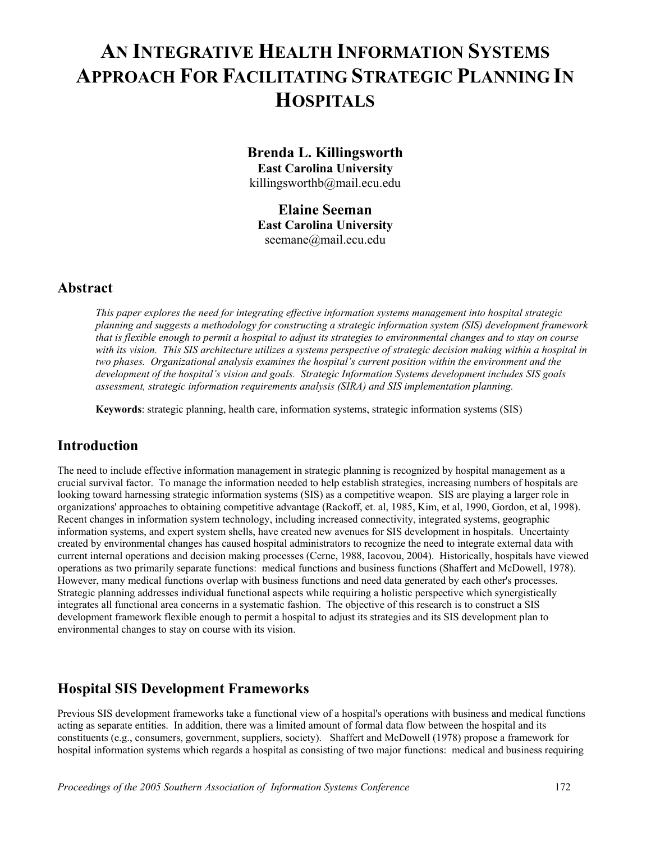# **AN INTEGRATIVE HEALTH INFORMATION SYSTEMS APPROACH FOR FACILITATING STRATEGIC PLANNING IN HOSPITALS**

**Brenda L. Killingsworth East Carolina University**  killingsworthb@mail.ecu.edu

**Elaine Seeman East Carolina University**  seemane@mail.ecu.edu

## **Abstract**

*This paper explores the need for integrating effective information systems management into hospital strategic planning and suggests a methodology for constructing a strategic information system (SIS) development framework that is flexible enough to permit a hospital to adjust its strategies to environmental changes and to stay on course with its vision. This SIS architecture utilizes a systems perspective of strategic decision making within a hospital in two phases. Organizational analysis examines the hospital's current position within the environment and the development of the hospital's vision and goals. Strategic Information Systems development includes SIS goals assessment, strategic information requirements analysis (SIRA) and SIS implementation planning.* 

**Keywords**: strategic planning, health care, information systems, strategic information systems (SIS)

## **Introduction**

The need to include effective information management in strategic planning is recognized by hospital management as a crucial survival factor. To manage the information needed to help establish strategies, increasing numbers of hospitals are looking toward harnessing strategic information systems (SIS) as a competitive weapon. SIS are playing a larger role in organizations' approaches to obtaining competitive advantage (Rackoff, et. al, 1985, Kim, et al, 1990, Gordon, et al, 1998). Recent changes in information system technology, including increased connectivity, integrated systems, geographic information systems, and expert system shells, have created new avenues for SIS development in hospitals. Uncertainty created by environmental changes has caused hospital administrators to recognize the need to integrate external data with current internal operations and decision making processes (Cerne, 1988, Iacovou, 2004). Historically, hospitals have viewed operations as two primarily separate functions: medical functions and business functions (Shaffert and McDowell, 1978). However, many medical functions overlap with business functions and need data generated by each other's processes. Strategic planning addresses individual functional aspects while requiring a holistic perspective which synergistically integrates all functional area concerns in a systematic fashion. The objective of this research is to construct a SIS development framework flexible enough to permit a hospital to adjust its strategies and its SIS development plan to environmental changes to stay on course with its vision.

## **Hospital SIS Development Frameworks**

Previous SIS development frameworks take a functional view of a hospital's operations with business and medical functions acting as separate entities. In addition, there was a limited amount of formal data flow between the hospital and its constituents (e.g., consumers, government, suppliers, society). Shaffert and McDowell (1978) propose a framework for hospital information systems which regards a hospital as consisting of two major functions: medical and business requiring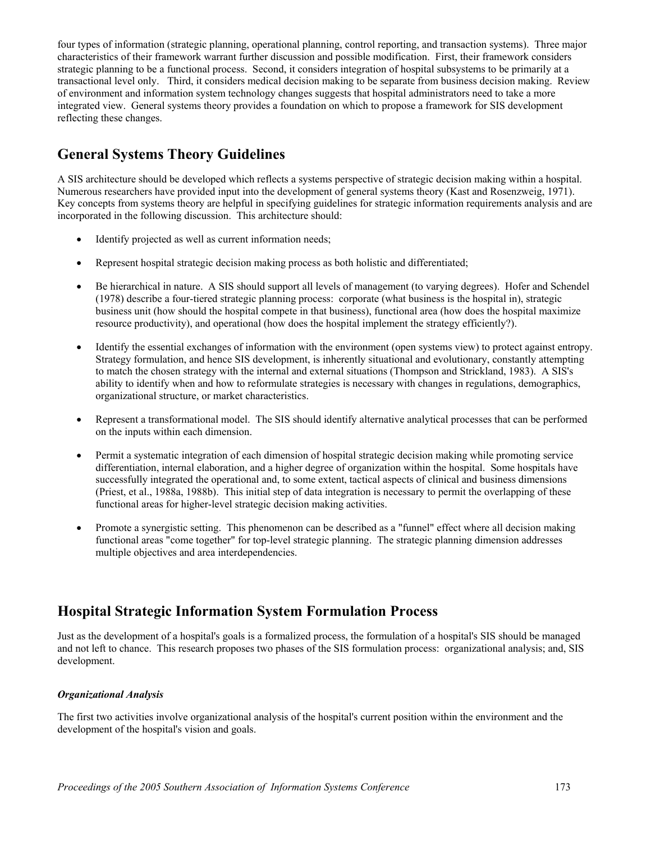four types of information (strategic planning, operational planning, control reporting, and transaction systems). Three major characteristics of their framework warrant further discussion and possible modification. First, their framework considers strategic planning to be a functional process. Second, it considers integration of hospital subsystems to be primarily at a transactional level only. Third, it considers medical decision making to be separate from business decision making. Review of environment and information system technology changes suggests that hospital administrators need to take a more integrated view. General systems theory provides a foundation on which to propose a framework for SIS development reflecting these changes.

# **General Systems Theory Guidelines**

A SIS architecture should be developed which reflects a systems perspective of strategic decision making within a hospital. Numerous researchers have provided input into the development of general systems theory (Kast and Rosenzweig, 1971). Key concepts from systems theory are helpful in specifying guidelines for strategic information requirements analysis and are incorporated in the following discussion. This architecture should:

- Identify projected as well as current information needs;
- Represent hospital strategic decision making process as both holistic and differentiated;
- Be hierarchical in nature. A SIS should support all levels of management (to varying degrees). Hofer and Schendel (1978) describe a four-tiered strategic planning process: corporate (what business is the hospital in), strategic business unit (how should the hospital compete in that business), functional area (how does the hospital maximize resource productivity), and operational (how does the hospital implement the strategy efficiently?).
- Identify the essential exchanges of information with the environment (open systems view) to protect against entropy. Strategy formulation, and hence SIS development, is inherently situational and evolutionary, constantly attempting to match the chosen strategy with the internal and external situations (Thompson and Strickland, 1983). A SIS's ability to identify when and how to reformulate strategies is necessary with changes in regulations, demographics, organizational structure, or market characteristics.
- Represent a transformational model. The SIS should identify alternative analytical processes that can be performed on the inputs within each dimension.
- Permit a systematic integration of each dimension of hospital strategic decision making while promoting service differentiation, internal elaboration, and a higher degree of organization within the hospital. Some hospitals have successfully integrated the operational and, to some extent, tactical aspects of clinical and business dimensions (Priest, et al., 1988a, 1988b). This initial step of data integration is necessary to permit the overlapping of these functional areas for higher-level strategic decision making activities.
- Promote a synergistic setting. This phenomenon can be described as a "funnel" effect where all decision making functional areas "come together" for top-level strategic planning. The strategic planning dimension addresses multiple objectives and area interdependencies.

# **Hospital Strategic Information System Formulation Process**

Just as the development of a hospital's goals is a formalized process, the formulation of a hospital's SIS should be managed and not left to chance. This research proposes two phases of the SIS formulation process: organizational analysis; and, SIS development.

#### *Organizational Analysis*

The first two activities involve organizational analysis of the hospital's current position within the environment and the development of the hospital's vision and goals.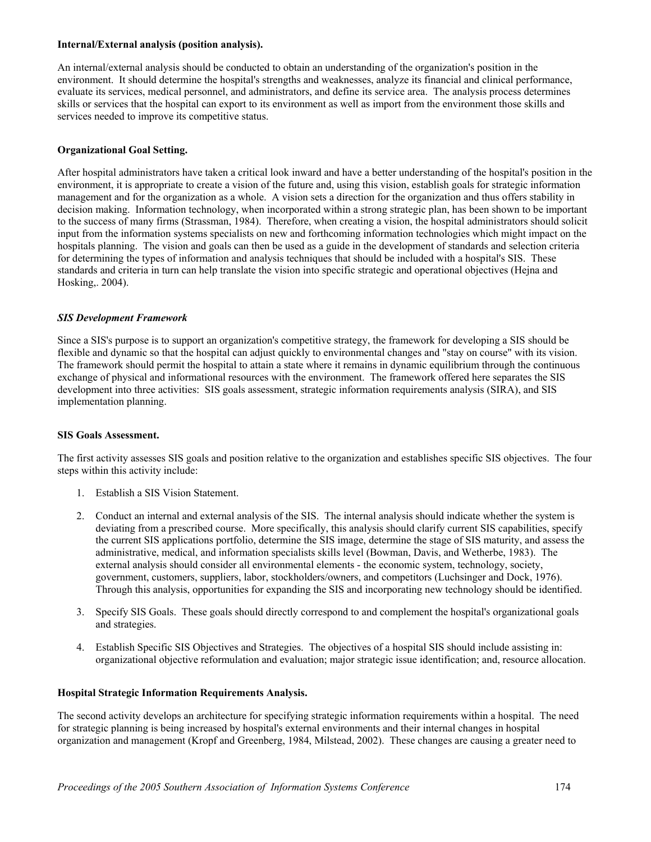#### **Internal/External analysis (position analysis).**

An internal/external analysis should be conducted to obtain an understanding of the organization's position in the environment. It should determine the hospital's strengths and weaknesses, analyze its financial and clinical performance, evaluate its services, medical personnel, and administrators, and define its service area. The analysis process determines skills or services that the hospital can export to its environment as well as import from the environment those skills and services needed to improve its competitive status.

#### **Organizational Goal Setting.**

After hospital administrators have taken a critical look inward and have a better understanding of the hospital's position in the environment, it is appropriate to create a vision of the future and, using this vision, establish goals for strategic information management and for the organization as a whole. A vision sets a direction for the organization and thus offers stability in decision making. Information technology, when incorporated within a strong strategic plan, has been shown to be important to the success of many firms (Strassman, 1984). Therefore, when creating a vision, the hospital administrators should solicit input from the information systems specialists on new and forthcoming information technologies which might impact on the hospitals planning. The vision and goals can then be used as a guide in the development of standards and selection criteria for determining the types of information and analysis techniques that should be included with a hospital's SIS. These standards and criteria in turn can help translate the vision into specific strategic and operational objectives (Hejna and Hosking,. 2004).

#### *SIS Development Framework*

Since a SIS's purpose is to support an organization's competitive strategy, the framework for developing a SIS should be flexible and dynamic so that the hospital can adjust quickly to environmental changes and "stay on course" with its vision. The framework should permit the hospital to attain a state where it remains in dynamic equilibrium through the continuous exchange of physical and informational resources with the environment. The framework offered here separates the SIS development into three activities: SIS goals assessment, strategic information requirements analysis (SIRA), and SIS implementation planning.

#### **SIS Goals Assessment.**

The first activity assesses SIS goals and position relative to the organization and establishes specific SIS objectives. The four steps within this activity include:

- 1. Establish a SIS Vision Statement.
- 2. Conduct an internal and external analysis of the SIS. The internal analysis should indicate whether the system is deviating from a prescribed course. More specifically, this analysis should clarify current SIS capabilities, specify the current SIS applications portfolio, determine the SIS image, determine the stage of SIS maturity, and assess the administrative, medical, and information specialists skills level (Bowman, Davis, and Wetherbe, 1983). The external analysis should consider all environmental elements - the economic system, technology, society, government, customers, suppliers, labor, stockholders/owners, and competitors (Luchsinger and Dock, 1976). Through this analysis, opportunities for expanding the SIS and incorporating new technology should be identified.
- 3. Specify SIS Goals. These goals should directly correspond to and complement the hospital's organizational goals and strategies.
- 4. Establish Specific SIS Objectives and Strategies. The objectives of a hospital SIS should include assisting in: organizational objective reformulation and evaluation; major strategic issue identification; and, resource allocation.

#### **Hospital Strategic Information Requirements Analysis.**

The second activity develops an architecture for specifying strategic information requirements within a hospital. The need for strategic planning is being increased by hospital's external environments and their internal changes in hospital organization and management (Kropf and Greenberg, 1984, Milstead, 2002). These changes are causing a greater need to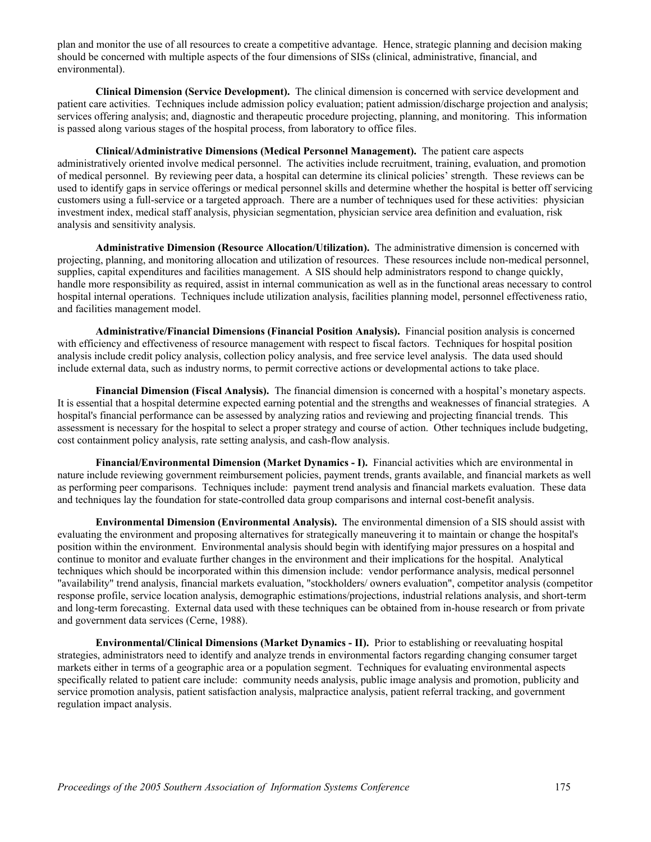plan and monitor the use of all resources to create a competitive advantage. Hence, strategic planning and decision making should be concerned with multiple aspects of the four dimensions of SISs (clinical, administrative, financial, and environmental).

**Clinical Dimension (Service Development).** The clinical dimension is concerned with service development and patient care activities. Techniques include admission policy evaluation; patient admission/discharge projection and analysis; services offering analysis; and, diagnostic and therapeutic procedure projecting, planning, and monitoring. This information is passed along various stages of the hospital process, from laboratory to office files.

**Clinical/Administrative Dimensions (Medical Personnel Management).** The patient care aspects administratively oriented involve medical personnel. The activities include recruitment, training, evaluation, and promotion of medical personnel. By reviewing peer data, a hospital can determine its clinical policies' strength. These reviews can be used to identify gaps in service offerings or medical personnel skills and determine whether the hospital is better off servicing customers using a full-service or a targeted approach. There are a number of techniques used for these activities: physician investment index, medical staff analysis, physician segmentation, physician service area definition and evaluation, risk analysis and sensitivity analysis.

**Administrative Dimension (Resource Allocation/Utilization).** The administrative dimension is concerned with projecting, planning, and monitoring allocation and utilization of resources. These resources include non-medical personnel, supplies, capital expenditures and facilities management. A SIS should help administrators respond to change quickly, handle more responsibility as required, assist in internal communication as well as in the functional areas necessary to control hospital internal operations. Techniques include utilization analysis, facilities planning model, personnel effectiveness ratio, and facilities management model.

**Administrative/Financial Dimensions (Financial Position Analysis).** Financial position analysis is concerned with efficiency and effectiveness of resource management with respect to fiscal factors. Techniques for hospital position analysis include credit policy analysis, collection policy analysis, and free service level analysis. The data used should include external data, such as industry norms, to permit corrective actions or developmental actions to take place.

**Financial Dimension (Fiscal Analysis).** The financial dimension is concerned with a hospital's monetary aspects. It is essential that a hospital determine expected earning potential and the strengths and weaknesses of financial strategies. A hospital's financial performance can be assessed by analyzing ratios and reviewing and projecting financial trends. This assessment is necessary for the hospital to select a proper strategy and course of action. Other techniques include budgeting, cost containment policy analysis, rate setting analysis, and cash-flow analysis.

**Financial/Environmental Dimension (Market Dynamics - I).** Financial activities which are environmental in nature include reviewing government reimbursement policies, payment trends, grants available, and financial markets as well as performing peer comparisons. Techniques include: payment trend analysis and financial markets evaluation. These data and techniques lay the foundation for state-controlled data group comparisons and internal cost-benefit analysis.

**Environmental Dimension (Environmental Analysis).** The environmental dimension of a SIS should assist with evaluating the environment and proposing alternatives for strategically maneuvering it to maintain or change the hospital's position within the environment. Environmental analysis should begin with identifying major pressures on a hospital and continue to monitor and evaluate further changes in the environment and their implications for the hospital. Analytical techniques which should be incorporated within this dimension include: vendor performance analysis, medical personnel "availability" trend analysis, financial markets evaluation, "stockholders/ owners evaluation", competitor analysis (competitor response profile, service location analysis, demographic estimations/projections, industrial relations analysis, and short-term and long-term forecasting. External data used with these techniques can be obtained from in-house research or from private and government data services (Cerne, 1988).

**Environmental/Clinical Dimensions (Market Dynamics - II).** Prior to establishing or reevaluating hospital strategies, administrators need to identify and analyze trends in environmental factors regarding changing consumer target markets either in terms of a geographic area or a population segment. Techniques for evaluating environmental aspects specifically related to patient care include: community needs analysis, public image analysis and promotion, publicity and service promotion analysis, patient satisfaction analysis, malpractice analysis, patient referral tracking, and government regulation impact analysis.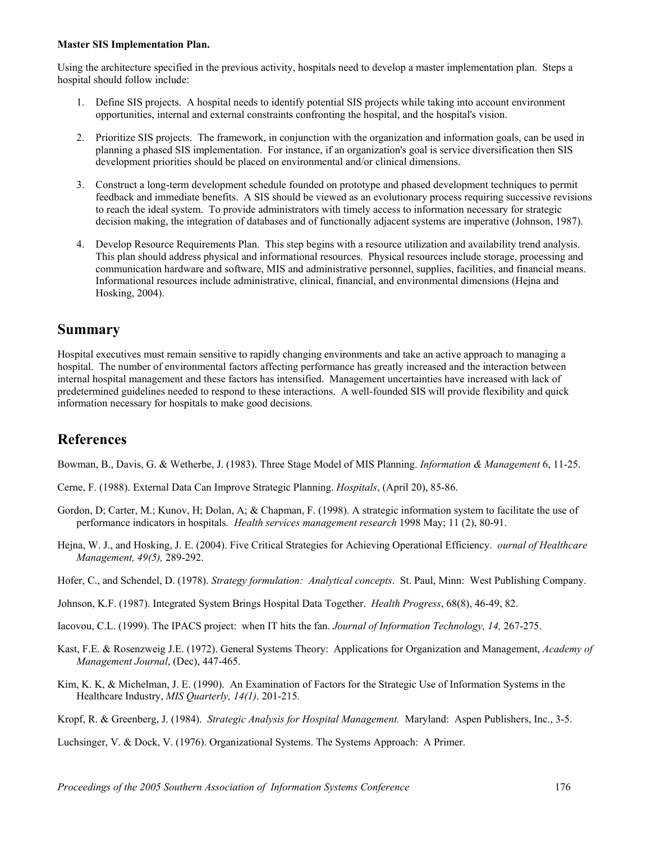#### **Master SIS Implementation Plan.**

Using the architecture specified in the previous activity, hospitals need to develop a master implementation plan. Steps a hospital should follow include:

- 1. Define SIS projects. A hospital needs to identify potential SIS projects while taking into account environment opportunities, internal and external constraints confronting the hospital, and the hospital's vision.
- 2. Prioritize SIS projects. The framework, in conjunction with the organization and information goals, can be used in planning a phased SIS implementation. For instance, if an organization's goal is service diversification then SIS development priorities should be placed on environmental and/or clinical dimensions.
- 3. Construct a long-term development schedule founded on prototype and phased development techniques to permit feedback and immediate benefits. A SIS should be viewed as an evolutionary process requiring successive revisions to reach the ideal system. To provide administrators with timely access to information necessary for strategic decision making, the integration of databases and of functionally adjacent systems are imperative (Johnson, 1987).
- 4. Develop Resource Requirements Plan. This step begins with a resource utilization and availability trend analysis. This plan should address physical and informational resources. Physical resources include storage, processing and communication hardware and software, MIS and administrative personnel, supplies, facilities, and financial means. Informational resources include administrative, clinical, financial, and environmental dimensions (Hejna and Hosking, 2004).

## **Summary**

Hospital executives must remain sensitive to rapidly changing environments and take an active approach to managing a hospital. The number of environmental factors affecting performance has greatly increased and the interaction between internal hospital management and these factors has intensified. Management uncertainties have increased with lack of predetermined guidelines needed to respond to these interactions. A well-founded SIS will provide flexibility and quick information necessary for hospitals to make good decisions.

## **References**

Bowman, B., Davis, G. & Wetherbe, J. (1983). Three Stage Model of MIS Planning. *Information & Management* 6, 11-25.

- Cerne, F. (1988). External Data Can Improve Strategic Planning. *Hospitals*, (April 20), 85-86.
- Gordon, D; Carter, M.; Kunov, H; Dolan, A; & Chapman, F. (1998). A strategic information system to facilitate the use of performance indicators in hospitals*. Health services management research* 1998 May; 11 (2), 80-91.
- Hejna, W. J., and Hosking, J. E. (2004). Five Critical Strategies for Achieving Operational Efficiency. *ournal of Healthcare Management, 49(5),* 289-292.
- Hofer, C., and Schendel, D. (1978). *Strategy formulation: Analytical concepts*. St. Paul, Minn: West Publishing Company.
- Johnson, K.F. (1987). Integrated System Brings Hospital Data Together. *Health Progress*, 68(8), 46-49, 82.
- Iacovou, C.L. (1999). The IPACS project: when IT hits the fan. *Journal of Information Technology, 14,* 267-275.
- Kast, F.E. & Rosenzweig J.E. (1972). General Systems Theory: Applications for Organization and Management, *Academy of Management Journal*, (Dec), 447-465.
- Kim, K. K, & Michelman, J. E. (1990). An Examination of Factors for the Strategic Use of Information Systems in the Healthcare Industry, *MIS Quarterly, 14(1)*. 201-215*.*
- Kropf, R. & Greenberg, J. (1984). *Strategic Analysis for Hospital Management.* Maryland: Aspen Publishers, Inc., 3-5.

Luchsinger, V. & Dock, V. (1976). Organizational Systems. The Systems Approach: A Primer.